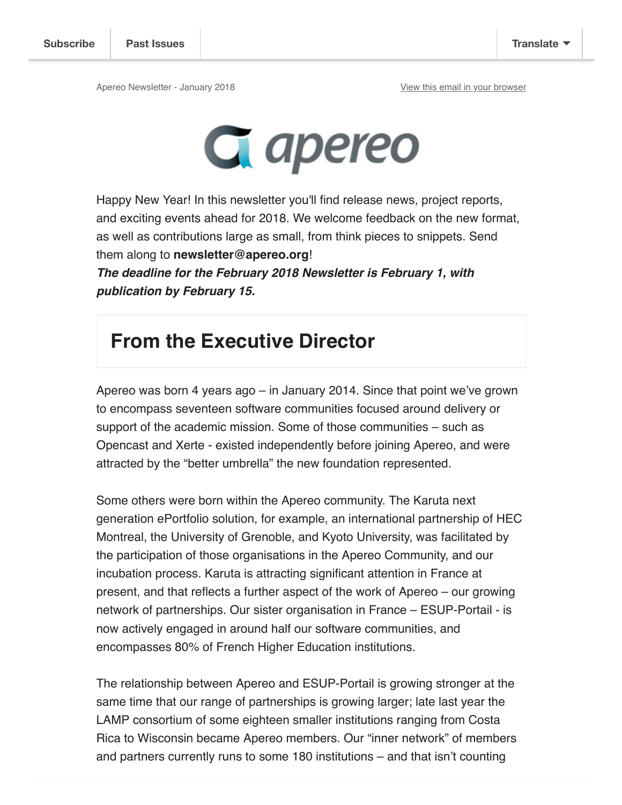

Happy New Year! In this newsletter you'll find release news, project reports, and exciting events ahead for 2018. We welcome feedback on the new format, as well as contributions large as small, from think pieces to snippets. Send them along to **newsletter@apereo.org**!

**The deadline for the February 2018 Newsletter is February 1, with publication by February 15.** 

#### **From the Executive Director**

Apereo was born 4 years ago – in January 2014. Since that point we've grown to encompass seventeen software communities focused around delivery or support of the academic mission. Some of those communities – such as Opencast and Xerte - existed independently before joining Apereo, and were attracted by the "better umbrella" the new foundation represented.

Some others were born within the Apereo community. The Karuta next generation ePortfolio solution, for example, an international partnership of HEC Montreal, the University of Grenoble, and Kyoto University, was facilitated by the participation of those organisations in the Apereo Community, and our incubation process. Karuta is attracting significant attention in France at present, and that reflects a further aspect of the work of Apereo – our growing network of partnerships. Our sister organisation in France – ESUP-Portail - is now actively engaged in around half our software communities, and encompasses 80% of French Higher Education institutions.

The relationship between Apereo and ESUP-Portail is growing stronger at the same time that our range of partnerships is growing larger; late last year the LAMP consortium of some eighteen smaller institutions ranging from Costa Rica to Wisconsin became Apereo members. Our "inner network" of members and partners currently runs to some 180 institutions – and that isn't counting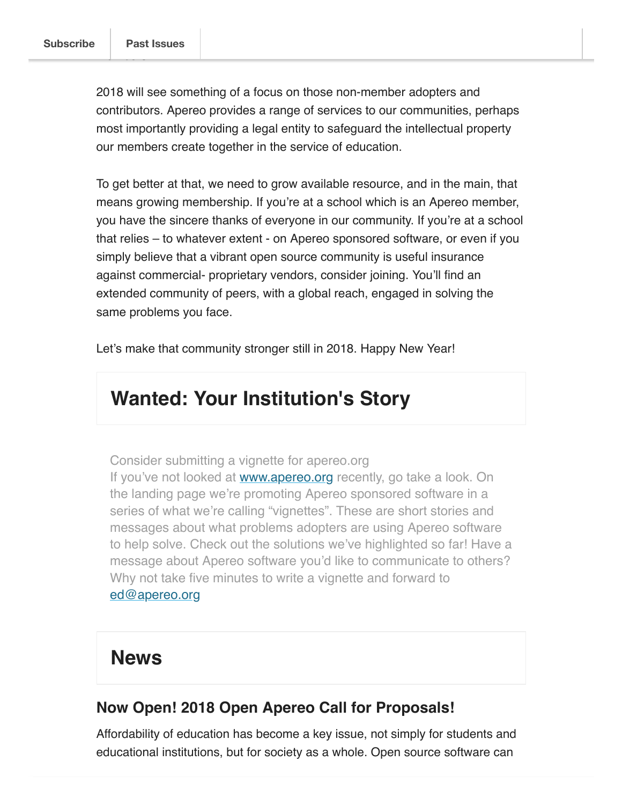members.

2018 will see something of a focus on those non-member adopters and contributors. Apereo provides a range of services to our communities, perhaps most importantly providing a legal entity to safeguard the intellectual property our members create together in the service of education.

To get better at that, we need to grow available resource, and in the main, that means growing membership. If you're at a school which is an Apereo member, you have the sincere thanks of everyone in our community. If you're at a school that relies – to whatever extent - on Apereo sponsored software, or even if you simply believe that a vibrant open source community is useful insurance against commercial- proprietary vendors, consider joining. You'll find an extended community of peers, with a global reach, engaged in solving the same problems you face.

Let's make that community stronger still in 2018. Happy New Year!

### **Wanted: Your Institution's Story**

Consider submitting a vignette for apereo.org

If you've not looked at www.apereo.org recently, go take a look. On the landing page we're promoting Apereo sponsored software in a series of what we're calling "vignettes". These are short stories and messages about what problems adopters are using Apereo software to help solve. Check out the solutions we've highlighted so far! Have a message about Apereo software you'd like to communicate to others? Why not take five minutes to write a vignette and forward to ed@apereo.org

#### **News**

#### **Now Open! 2018 Open Apereo Call for Proposals!**

Affordability of education has become a key issue, not simply for students and educational institutions, but for society as a whole. Open source software can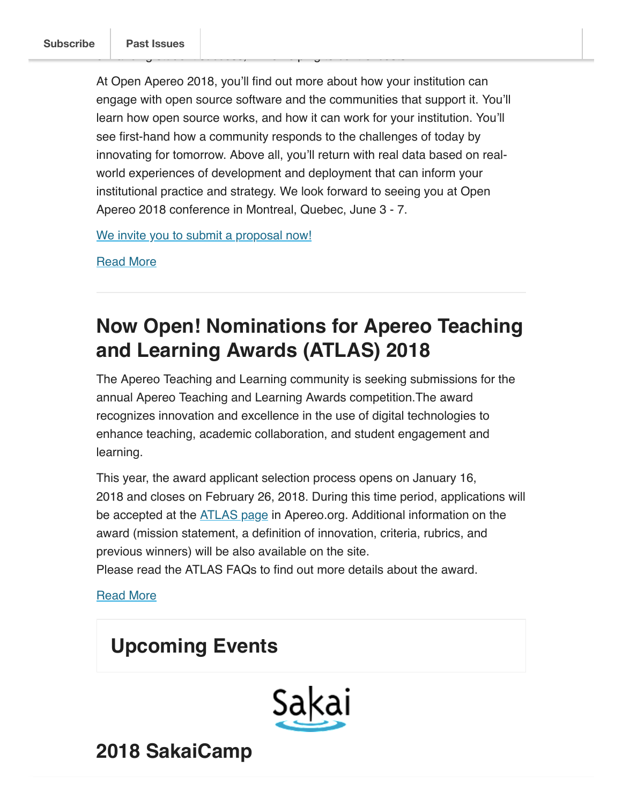At Open Apereo 2018, you'll find out more about how your institution can engage with open source software and the communities that support it. You'll learn how open source works, and how it can work for your institution. You'll see first-hand how a community responds to the challenges of today by innovating for tomorrow. Above all, you'll return with real data based on realworld experiences of development and deployment that can inform your institutional practice and strategy. We look forward to seeing you at Open Apereo 2018 conference in Montreal, Quebec, June 3 - 7.

enhancing student success, while helping to control costs.

We invite you to submit a proposal now!

Read More

### **Now Open! Nominations for Apereo Teaching and Learning Awards (ATLAS) 2018**

The Apereo Teaching and Learning community is seeking submissions for the annual Apereo Teaching and Learning Awards competition.The award recognizes innovation and excellence in the use of digital technologies to enhance teaching, academic collaboration, and student engagement and learning.

This year, the award applicant selection process opens on January 16, 2018 and closes on February 26, 2018. During this time period, applications will be accepted at the **ATLAS** page in Apereo.org. Additional information on the award (mission statement, a definition of innovation, criteria, rubrics, and previous winners) will be also available on the site.

Please read the ATLAS FAQs to find out more details about the award.

Read More

### **Upcoming Events**



**2018 SakaiCamp**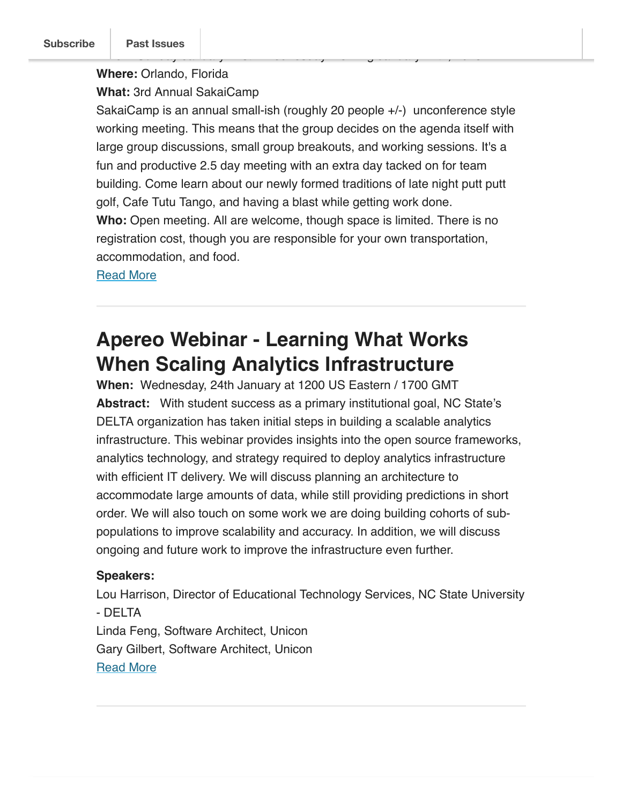#### **Where:** Orlando, Florida

**What:** 3rd Annual SakaiCamp

SakaiCamp is an annual small-ish (roughly 20 people +/-) unconference style working meeting. This means that the group decides on the agenda itself with large group discussions, small group breakouts, and working sessions. It's a fun and productive 2.5 day meeting with an extra day tacked on for team building. Come learn about our newly formed traditions of late night putt putt golf, Cafe Tutu Tango, and having a blast while getting work done. **Who:** Open meeting. All are welcome, though space is limited. There is no registration cost, though you are responsible for your own transportation, accommodation, and food.

**When:** Sunday January 21st - Wednesday morning January 24th, 2018

Read More

### **Apereo Webinar - Learning What Works When Scaling Analytics Infrastructure**

When: Wednesday, 24th January at 1200 US Eastern / 1700 GMT **Abstract:** With student success as a primary institutional goal, NC State's DELTA organization has taken initial steps in building a scalable analytics infrastructure. This webinar provides insights into the open source frameworks, analytics technology, and strategy required to deploy analytics infrastructure with efficient IT delivery. We will discuss planning an architecture to accommodate large amounts of data, while still providing predictions in short order. We will also touch on some work we are doing building cohorts of subpopulations to improve scalability and accuracy. In addition, we will discuss ongoing and future work to improve the infrastructure even further.

#### **Speakers:**

Lou Harrison, Director of Educational Technology Services, NC State University - DELTA Linda Feng, Software Architect, Unicon Gary Gilbert, Software Architect, Unicon Read More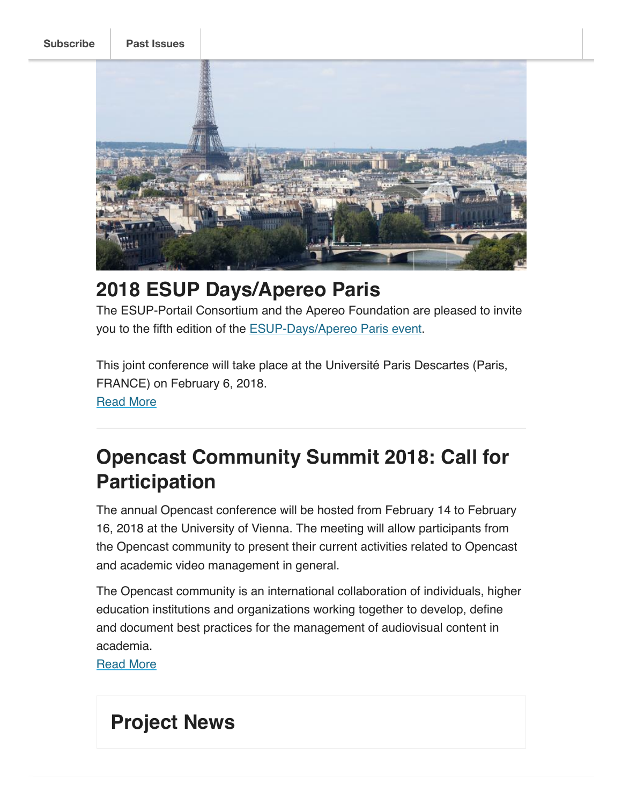**Subscribe Past Issues**



### **2018 ESUP Days/Apereo Paris**

The ESUP-Portail Consortium and the Apereo Foundation are pleased to invite you to the fifth edition of the **ESUP-Days/Apereo Paris event**.

This joint conference will take place at the Université Paris Descartes (Paris, FRANCE) on February 6, 2018.

Read More

### **Opencast Community Summit 2018: Call for Participation**

The annual Opencast conference will be hosted from February 14 to February 16, 2018 at the University of Vienna. The meeting will allow participants from the Opencast community to present their current activities related to Opencast and academic video management in general.

The Opencast community is an international collaboration of individuals, higher education institutions and organizations working together to develop, define and document best practices for the management of audiovisual content in academia.

Read More

### **Project News**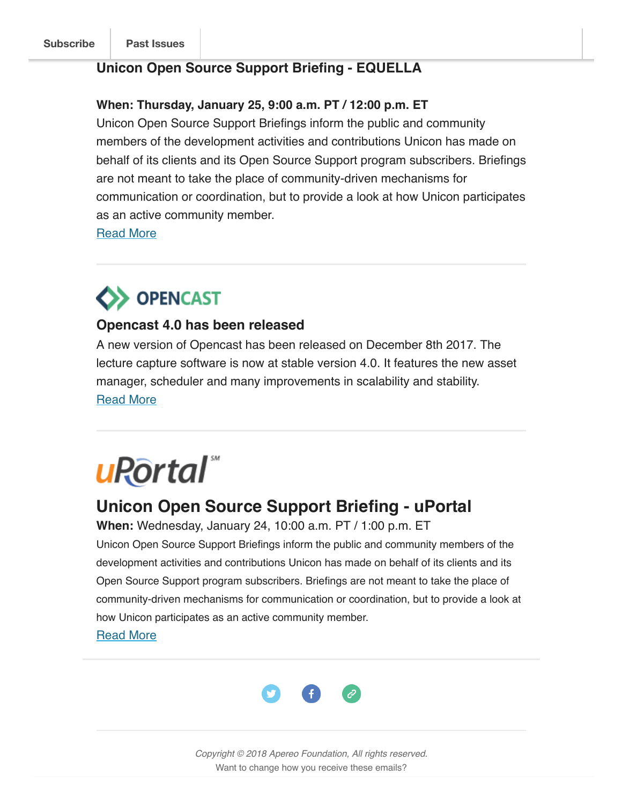#### **Unicon Open Source Support Briefing - EQUELLA**

#### **When: Thursday, January 25, 9:00 a.m. PT / 12:00 p.m. ET**

Unicon Open Source Support Briefings inform the public and community members of the development activities and contributions Unicon has made on behalf of its clients and its Open Source Support program subscribers. Briefings are not meant to take the place of community-driven mechanisms for communication or coordination, but to provide a look at how Unicon participates as an active community member.

Read More

## **OPENCAST**

#### **Opencast 4.0 has been released**

A new version of Opencast has been released on December 8th 2017. The lecture capture software is now at stable version 4.0. It features the new asset manager, scheduler and many improvements in scalability and stability. Read More

# uRortal

#### **Unicon Open Source Support Briefing - uPortal**

**When:** Wednesday, January 24, 10:00 a.m. PT / 1:00 p.m. ET Unicon Open Source Support Briefings inform the public and community members of the development activities and contributions Unicon has made on behalf of its clients and its Open Source Support program subscribers. Briefings are not meant to take the place of community-driven mechanisms for communication or coordination, but to provide a look at how Unicon participates as an active community member.

Read More



Copyright © 2018 Apereo Foundation, All rights reserved. Want to change how you receive these emails?